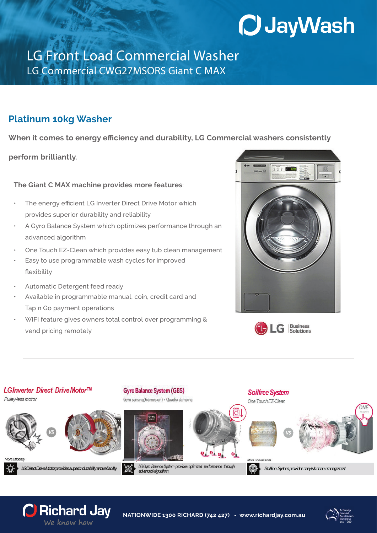## **O JayWash**

## LG Front Load Commercial Washer LG Commercial CWG27MSORS Giant C MAX

## **Platinum 10kg Washer**

**When it comes to energy efficiency and durability, LG Commercial washers consistently**

**perform brilliantly**.

**The Giant C MAX machine provides more features**:

- The energy efficient LG Inverter Direct Drive Motor which provides superior durability and reliability
- A Gyro Balance System which optimizes performance through an advanced algorithm
- One Touch EZ-Clean which provides easy tub clean management
- Easy to use programmable wash cycles for improved flexibility
- Automatic Detergent feed ready

C Richard Jay We know how

- Available in programmable manual, coin, credit card and Tap n Go payment operations
- WIFI feature gives owners total control over programming & vend pricing remotely